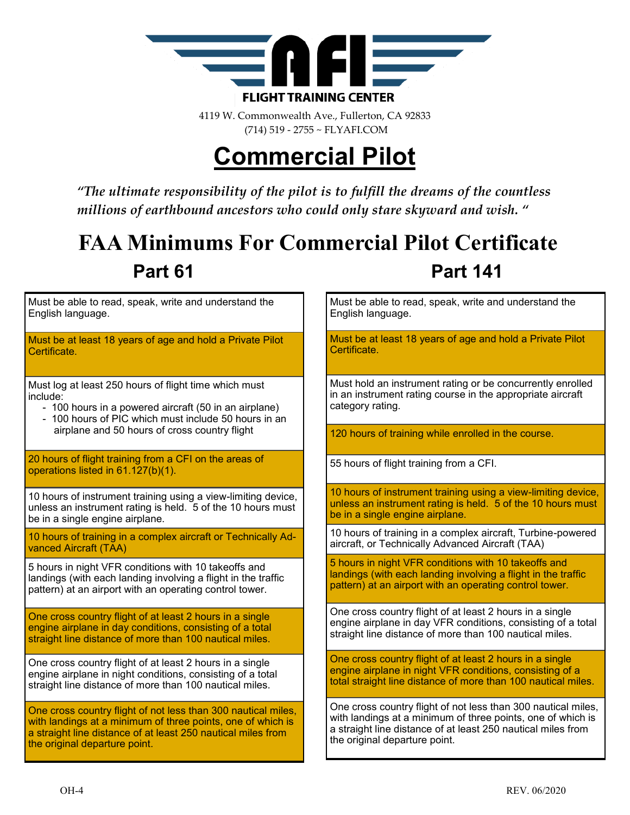

4119 W. Commonwealth Ave., Fullerton, CA 92833 (714) 519 - 2755 ~ FLYAFI.COM

# **Commercial Pilot**

*"The ultimate responsibility of the pilot is to fulfill the dreams of the countless millions of earthbound ancestors who could only stare skyward and wish. "*

### **FAA Minimums For Commercial Pilot Certificate Part 61 Part 141**

Must be able to read, speak, write and understand the English language.

Must be at least 18 years of age and hold a Private Pilot Certificate.

Must log at least 250 hours of flight time which must include:

- 100 hours in a powered aircraft (50 in an airplane)
- 100 hours of PIC which must include 50 hours in an airplane and 50 hours of cross country flight

20 hours of flight training from a CFI on the areas of operations listed in 61.127(b)(1).

10 hours of instrument training using a view-limiting device, unless an instrument rating is held. 5 of the 10 hours must be in a single engine airplane.

10 hours of training in a complex aircraft or Technically Advanced Aircraft (TAA)

5 hours in night VFR conditions with 10 takeoffs and landings (with each landing involving a flight in the traffic pattern) at an airport with an operating control tower.

One cross country flight of at least 2 hours in a single engine airplane in day conditions, consisting of a total straight line distance of more than 100 nautical miles.

One cross country flight of at least 2 hours in a single engine airplane in night conditions, consisting of a total straight line distance of more than 100 nautical miles.

One cross country flight of not less than 300 nautical miles, with landings at a minimum of three points, one of which is a straight line distance of at least 250 nautical miles from the original departure point.

Must be able to read, speak, write and understand the English language.

Must be at least 18 years of age and hold a Private Pilot Certificate.

Must hold an instrument rating or be concurrently enrolled in an instrument rating course in the appropriate aircraft category rating.

120 hours of training while enrolled in the course.

55 hours of flight training from a CFI.

10 hours of instrument training using a view-limiting device, unless an instrument rating is held. 5 of the 10 hours must be in a single engine airplane.

10 hours of training in a complex aircraft, Turbine-powered aircraft, or Technically Advanced Aircraft (TAA)

5 hours in night VFR conditions with 10 takeoffs and landings (with each landing involving a flight in the traffic pattern) at an airport with an operating control tower.

One cross country flight of at least 2 hours in a single engine airplane in day VFR conditions, consisting of a total straight line distance of more than 100 nautical miles.

One cross country flight of at least 2 hours in a single engine airplane in night VFR conditions, consisting of a total straight line distance of more than 100 nautical miles.

One cross country flight of not less than 300 nautical miles, with landings at a minimum of three points, one of which is a straight line distance of at least 250 nautical miles from the original departure point.